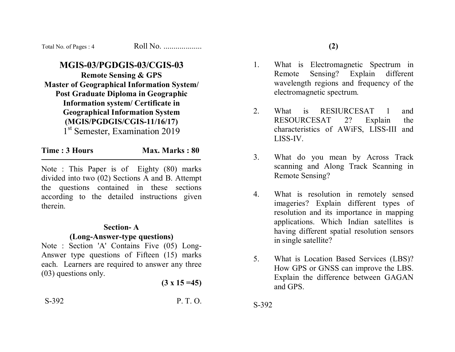| Total No. of Pages: 4 | Roll No. |
|-----------------------|----------|
|-----------------------|----------|

# **MGIS-03/PGDGIS-03/CGIS-03**

**Remote Sensing & GPS Master of Geographical Information System/ Post Graduate Diploma in Geographic Information system/ Certificate in Geographical Information System (MGIS/PGDGIS/CGIS-11/16/17)**  1<sup>st</sup> Semester, Examination 2019

**Time : 3 Hours Max. Marks : 80** 

Note : This Paper is of Eighty (80) marks divided into two (02) Sections A and B. Attempt the questions contained in these sections according to the detailed instructions given therein.

#### **Section- A**

#### **(Long-Answer-type questions)**

Note : Section 'A' Contains Five (05) Long-Answer type questions of Fifteen (15) marks each. Learners are required to answer any three (03) questions only.

**(3 x 15 =45)**

S-392 P. T. O.

1. What is Electromagnetic Spectrum in Remote Sensing? Explain different wavelength regions and frequency of the electromagnetic spectrum.

**(2)** 

- 2. What is RESIURCESAT 1 and RESOURCESAT 2? Explain the characteristics of AWiFS, LISS-III and LISS-IV.
- 3. What do you mean by Across Track scanning and Along Track Scanning in Remote Sensing?
- 4. What is resolution in remotely sensed imageries? Explain different types of resolution and its importance in mapping applications. Which Indian satellites is having different spatial resolution sensors in single satellite?
- 5. What is Location Based Services (LBS)? How GPS or GNSS can improve the LBS. Explain the difference between GAGAN and GPS.

S-392